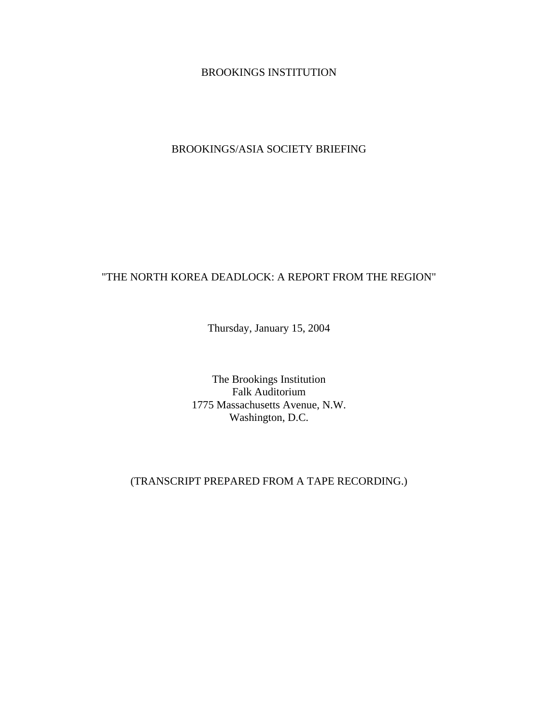BROOKINGS INSTITUTION

BROOKINGS/ASIA SOCIETY BRIEFING

## "THE NORTH KOREA DEADLOCK: A REPORT FROM THE REGION"

Thursday, January 15, 2004

The Brookings Institution Falk Auditorium 1775 Massachusetts Avenue, N.W. Washington, D.C.

(TRANSCRIPT PREPARED FROM A TAPE RECORDING.)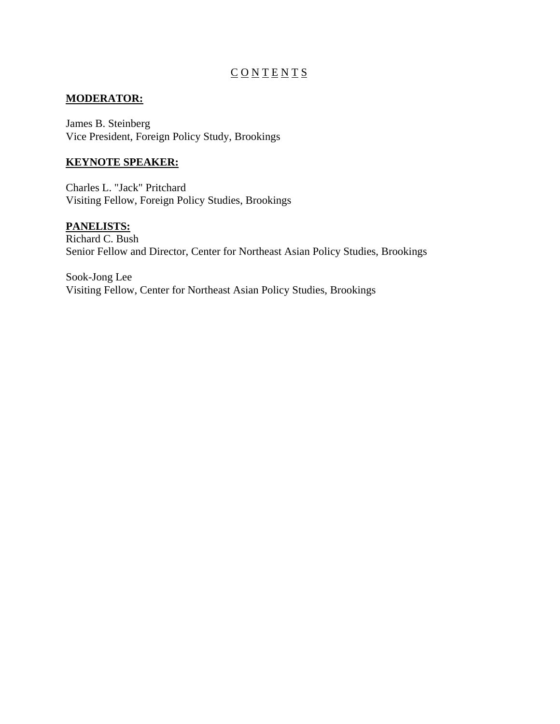# $\underline{C}\underline{O}\underline{N}\underline{T}\underline{E}\underline{N}\underline{T}\underline{S}$

## **MODERATOR:**

James B. Steinberg Vice President, Foreign Policy Study, Brookings

## **KEYNOTE SPEAKER:**

Charles L. "Jack" Pritchard Visiting Fellow, Foreign Policy Studies, Brookings

## **PANELISTS:**

Richard C. Bush Senior Fellow and Director, Center for Northeast Asian Policy Studies, Brookings

Sook-Jong Lee Visiting Fellow, Center for Northeast Asian Policy Studies, Brookings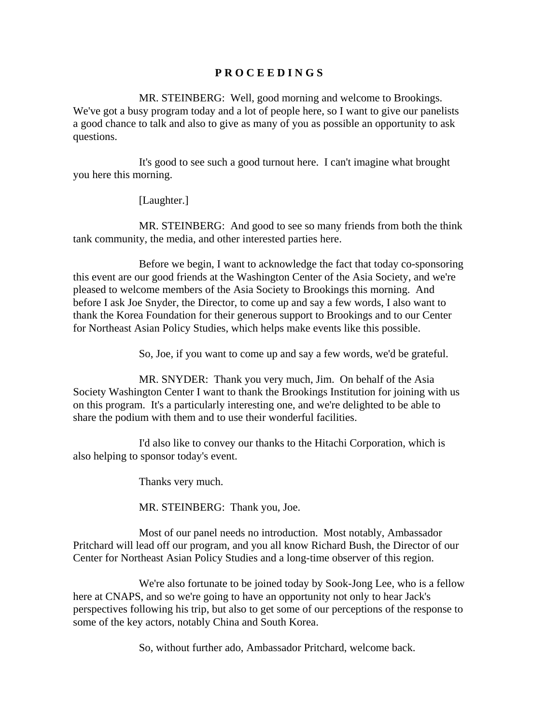#### **P R O C E E D I N G S**

MR. STEINBERG: Well, good morning and welcome to Brookings. We've got a busy program today and a lot of people here, so I want to give our panelists a good chance to talk and also to give as many of you as possible an opportunity to ask questions.

It's good to see such a good turnout here. I can't imagine what brought you here this morning.

#### [Laughter.]

MR. STEINBERG: And good to see so many friends from both the think tank community, the media, and other interested parties here.

Before we begin, I want to acknowledge the fact that today co-sponsoring this event are our good friends at the Washington Center of the Asia Society, and we're pleased to welcome members of the Asia Society to Brookings this morning. And before I ask Joe Snyder, the Director, to come up and say a few words, I also want to thank the Korea Foundation for their generous support to Brookings and to our Center for Northeast Asian Policy Studies, which helps make events like this possible.

So, Joe, if you want to come up and say a few words, we'd be grateful.

MR. SNYDER: Thank you very much, Jim. On behalf of the Asia Society Washington Center I want to thank the Brookings Institution for joining with us on this program. It's a particularly interesting one, and we're delighted to be able to share the podium with them and to use their wonderful facilities.

I'd also like to convey our thanks to the Hitachi Corporation, which is also helping to sponsor today's event.

Thanks very much.

MR. STEINBERG: Thank you, Joe.

Most of our panel needs no introduction. Most notably, Ambassador Pritchard will lead off our program, and you all know Richard Bush, the Director of our Center for Northeast Asian Policy Studies and a long-time observer of this region.

We're also fortunate to be joined today by Sook-Jong Lee, who is a fellow here at CNAPS, and so we're going to have an opportunity not only to hear Jack's perspectives following his trip, but also to get some of our perceptions of the response to some of the key actors, notably China and South Korea.

So, without further ado, Ambassador Pritchard, welcome back.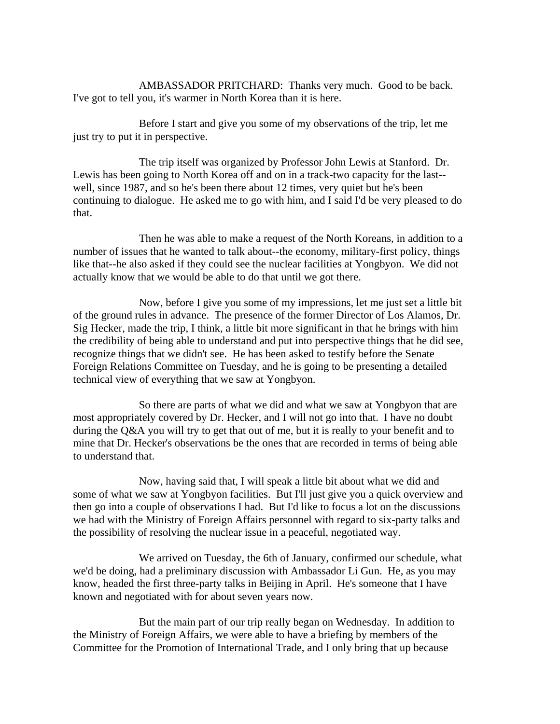AMBASSADOR PRITCHARD: Thanks very much. Good to be back. I've got to tell you, it's warmer in North Korea than it is here.

Before I start and give you some of my observations of the trip, let me just try to put it in perspective.

The trip itself was organized by Professor John Lewis at Stanford. Dr. Lewis has been going to North Korea off and on in a track-two capacity for the last- well, since 1987, and so he's been there about 12 times, very quiet but he's been continuing to dialogue. He asked me to go with him, and I said I'd be very pleased to do that.

Then he was able to make a request of the North Koreans, in addition to a number of issues that he wanted to talk about--the economy, military-first policy, things like that--he also asked if they could see the nuclear facilities at Yongbyon. We did not actually know that we would be able to do that until we got there.

Now, before I give you some of my impressions, let me just set a little bit of the ground rules in advance. The presence of the former Director of Los Alamos, Dr. Sig Hecker, made the trip, I think, a little bit more significant in that he brings with him the credibility of being able to understand and put into perspective things that he did see, recognize things that we didn't see. He has been asked to testify before the Senate Foreign Relations Committee on Tuesday, and he is going to be presenting a detailed technical view of everything that we saw at Yongbyon.

So there are parts of what we did and what we saw at Yongbyon that are most appropriately covered by Dr. Hecker, and I will not go into that. I have no doubt during the Q&A you will try to get that out of me, but it is really to your benefit and to mine that Dr. Hecker's observations be the ones that are recorded in terms of being able to understand that.

Now, having said that, I will speak a little bit about what we did and some of what we saw at Yongbyon facilities. But I'll just give you a quick overview and then go into a couple of observations I had. But I'd like to focus a lot on the discussions we had with the Ministry of Foreign Affairs personnel with regard to six-party talks and the possibility of resolving the nuclear issue in a peaceful, negotiated way.

We arrived on Tuesday, the 6th of January, confirmed our schedule, what we'd be doing, had a preliminary discussion with Ambassador Li Gun. He, as you may know, headed the first three-party talks in Beijing in April. He's someone that I have known and negotiated with for about seven years now.

But the main part of our trip really began on Wednesday. In addition to the Ministry of Foreign Affairs, we were able to have a briefing by members of the Committee for the Promotion of International Trade, and I only bring that up because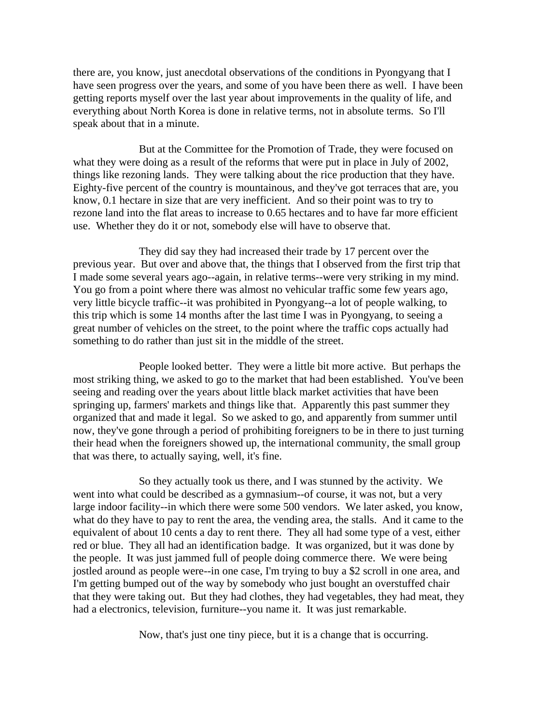there are, you know, just anecdotal observations of the conditions in Pyongyang that I have seen progress over the years, and some of you have been there as well. I have been getting reports myself over the last year about improvements in the quality of life, and everything about North Korea is done in relative terms, not in absolute terms. So I'll speak about that in a minute.

But at the Committee for the Promotion of Trade, they were focused on what they were doing as a result of the reforms that were put in place in July of 2002, things like rezoning lands. They were talking about the rice production that they have. Eighty-five percent of the country is mountainous, and they've got terraces that are, you know, 0.1 hectare in size that are very inefficient. And so their point was to try to rezone land into the flat areas to increase to 0.65 hectares and to have far more efficient use. Whether they do it or not, somebody else will have to observe that.

They did say they had increased their trade by 17 percent over the previous year. But over and above that, the things that I observed from the first trip that I made some several years ago--again, in relative terms--were very striking in my mind. You go from a point where there was almost no vehicular traffic some few years ago, very little bicycle traffic--it was prohibited in Pyongyang--a lot of people walking, to this trip which is some 14 months after the last time I was in Pyongyang, to seeing a great number of vehicles on the street, to the point where the traffic cops actually had something to do rather than just sit in the middle of the street.

People looked better. They were a little bit more active. But perhaps the most striking thing, we asked to go to the market that had been established. You've been seeing and reading over the years about little black market activities that have been springing up, farmers' markets and things like that. Apparently this past summer they organized that and made it legal. So we asked to go, and apparently from summer until now, they've gone through a period of prohibiting foreigners to be in there to just turning their head when the foreigners showed up, the international community, the small group that was there, to actually saying, well, it's fine.

So they actually took us there, and I was stunned by the activity. We went into what could be described as a gymnasium--of course, it was not, but a very large indoor facility--in which there were some 500 vendors. We later asked, you know, what do they have to pay to rent the area, the vending area, the stalls. And it came to the equivalent of about 10 cents a day to rent there. They all had some type of a vest, either red or blue. They all had an identification badge. It was organized, but it was done by the people. It was just jammed full of people doing commerce there. We were being jostled around as people were--in one case, I'm trying to buy a \$2 scroll in one area, and I'm getting bumped out of the way by somebody who just bought an overstuffed chair that they were taking out. But they had clothes, they had vegetables, they had meat, they had a electronics, television, furniture--you name it. It was just remarkable.

Now, that's just one tiny piece, but it is a change that is occurring.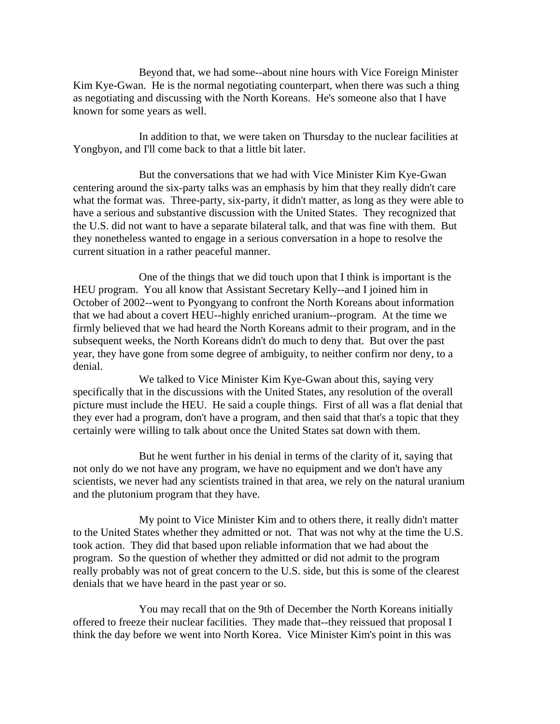Beyond that, we had some--about nine hours with Vice Foreign Minister Kim Kye-Gwan. He is the normal negotiating counterpart, when there was such a thing as negotiating and discussing with the North Koreans. He's someone also that I have known for some years as well.

In addition to that, we were taken on Thursday to the nuclear facilities at Yongbyon, and I'll come back to that a little bit later.

But the conversations that we had with Vice Minister Kim Kye-Gwan centering around the six-party talks was an emphasis by him that they really didn't care what the format was. Three-party, six-party, it didn't matter, as long as they were able to have a serious and substantive discussion with the United States. They recognized that the U.S. did not want to have a separate bilateral talk, and that was fine with them. But they nonetheless wanted to engage in a serious conversation in a hope to resolve the current situation in a rather peaceful manner.

One of the things that we did touch upon that I think is important is the HEU program. You all know that Assistant Secretary Kelly--and I joined him in October of 2002--went to Pyongyang to confront the North Koreans about information that we had about a covert HEU--highly enriched uranium--program. At the time we firmly believed that we had heard the North Koreans admit to their program, and in the subsequent weeks, the North Koreans didn't do much to deny that. But over the past year, they have gone from some degree of ambiguity, to neither confirm nor deny, to a denial.

We talked to Vice Minister Kim Kye-Gwan about this, saying very specifically that in the discussions with the United States, any resolution of the overall picture must include the HEU. He said a couple things. First of all was a flat denial that they ever had a program, don't have a program, and then said that that's a topic that they certainly were willing to talk about once the United States sat down with them.

But he went further in his denial in terms of the clarity of it, saying that not only do we not have any program, we have no equipment and we don't have any scientists, we never had any scientists trained in that area, we rely on the natural uranium and the plutonium program that they have.

My point to Vice Minister Kim and to others there, it really didn't matter to the United States whether they admitted or not. That was not why at the time the U.S. took action. They did that based upon reliable information that we had about the program. So the question of whether they admitted or did not admit to the program really probably was not of great concern to the U.S. side, but this is some of the clearest denials that we have heard in the past year or so.

You may recall that on the 9th of December the North Koreans initially offered to freeze their nuclear facilities. They made that--they reissued that proposal I think the day before we went into North Korea. Vice Minister Kim's point in this was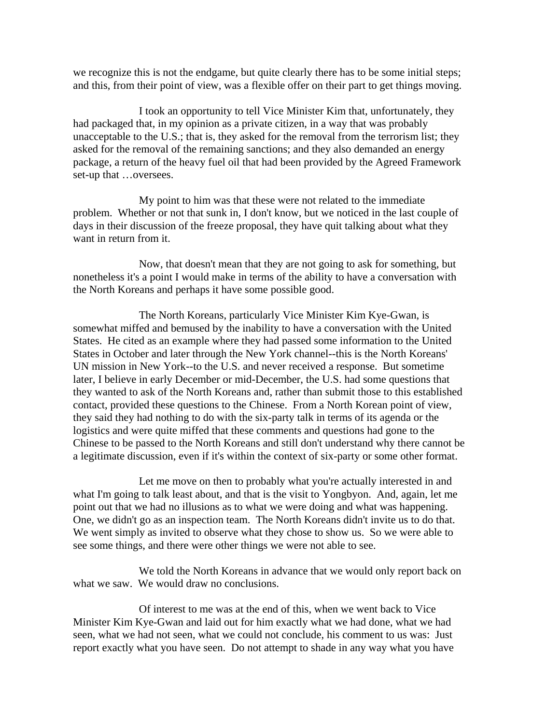we recognize this is not the endgame, but quite clearly there has to be some initial steps; and this, from their point of view, was a flexible offer on their part to get things moving.

I took an opportunity to tell Vice Minister Kim that, unfortunately, they had packaged that, in my opinion as a private citizen, in a way that was probably unacceptable to the U.S.; that is, they asked for the removal from the terrorism list; they asked for the removal of the remaining sanctions; and they also demanded an energy package, a return of the heavy fuel oil that had been provided by the Agreed Framework set-up that …oversees.

My point to him was that these were not related to the immediate problem. Whether or not that sunk in, I don't know, but we noticed in the last couple of days in their discussion of the freeze proposal, they have quit talking about what they want in return from it.

Now, that doesn't mean that they are not going to ask for something, but nonetheless it's a point I would make in terms of the ability to have a conversation with the North Koreans and perhaps it have some possible good.

The North Koreans, particularly Vice Minister Kim Kye-Gwan, is somewhat miffed and bemused by the inability to have a conversation with the United States. He cited as an example where they had passed some information to the United States in October and later through the New York channel--this is the North Koreans' UN mission in New York--to the U.S. and never received a response. But sometime later, I believe in early December or mid-December, the U.S. had some questions that they wanted to ask of the North Koreans and, rather than submit those to this established contact, provided these questions to the Chinese. From a North Korean point of view, they said they had nothing to do with the six-party talk in terms of its agenda or the logistics and were quite miffed that these comments and questions had gone to the Chinese to be passed to the North Koreans and still don't understand why there cannot be a legitimate discussion, even if it's within the context of six-party or some other format.

Let me move on then to probably what you're actually interested in and what I'm going to talk least about, and that is the visit to Yongbyon. And, again, let me point out that we had no illusions as to what we were doing and what was happening. One, we didn't go as an inspection team. The North Koreans didn't invite us to do that. We went simply as invited to observe what they chose to show us. So we were able to see some things, and there were other things we were not able to see.

We told the North Koreans in advance that we would only report back on what we saw. We would draw no conclusions.

Of interest to me was at the end of this, when we went back to Vice Minister Kim Kye-Gwan and laid out for him exactly what we had done, what we had seen, what we had not seen, what we could not conclude, his comment to us was: Just report exactly what you have seen. Do not attempt to shade in any way what you have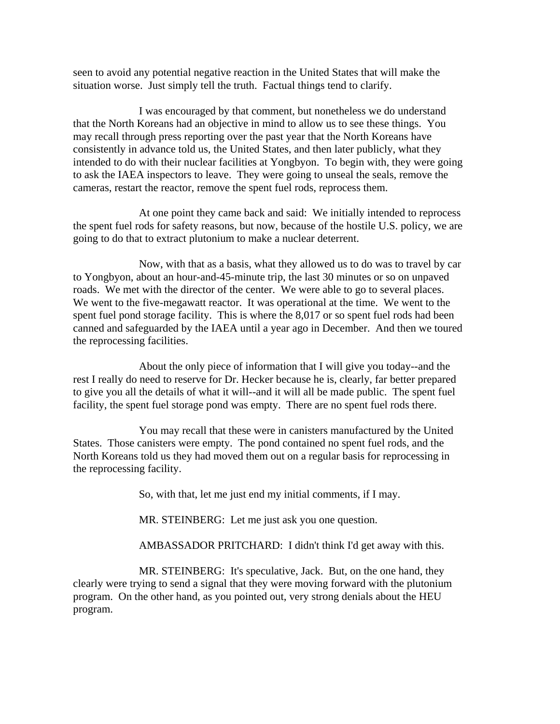seen to avoid any potential negative reaction in the United States that will make the situation worse. Just simply tell the truth. Factual things tend to clarify.

I was encouraged by that comment, but nonetheless we do understand that the North Koreans had an objective in mind to allow us to see these things. You may recall through press reporting over the past year that the North Koreans have consistently in advance told us, the United States, and then later publicly, what they intended to do with their nuclear facilities at Yongbyon. To begin with, they were going to ask the IAEA inspectors to leave. They were going to unseal the seals, remove the cameras, restart the reactor, remove the spent fuel rods, reprocess them.

At one point they came back and said: We initially intended to reprocess the spent fuel rods for safety reasons, but now, because of the hostile U.S. policy, we are going to do that to extract plutonium to make a nuclear deterrent.

Now, with that as a basis, what they allowed us to do was to travel by car to Yongbyon, about an hour-and-45-minute trip, the last 30 minutes or so on unpaved roads. We met with the director of the center. We were able to go to several places. We went to the five-megawatt reactor. It was operational at the time. We went to the spent fuel pond storage facility. This is where the 8,017 or so spent fuel rods had been canned and safeguarded by the IAEA until a year ago in December. And then we toured the reprocessing facilities.

About the only piece of information that I will give you today--and the rest I really do need to reserve for Dr. Hecker because he is, clearly, far better prepared to give you all the details of what it will--and it will all be made public. The spent fuel facility, the spent fuel storage pond was empty. There are no spent fuel rods there.

You may recall that these were in canisters manufactured by the United States. Those canisters were empty. The pond contained no spent fuel rods, and the North Koreans told us they had moved them out on a regular basis for reprocessing in the reprocessing facility.

So, with that, let me just end my initial comments, if I may.

MR. STEINBERG: Let me just ask you one question.

AMBASSADOR PRITCHARD: I didn't think I'd get away with this.

MR. STEINBERG: It's speculative, Jack. But, on the one hand, they clearly were trying to send a signal that they were moving forward with the plutonium program. On the other hand, as you pointed out, very strong denials about the HEU program.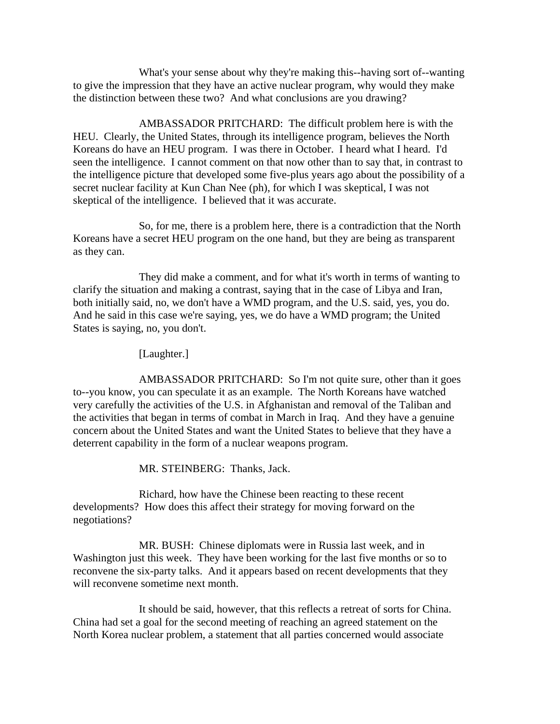What's your sense about why they're making this--having sort of--wanting to give the impression that they have an active nuclear program, why would they make the distinction between these two? And what conclusions are you drawing?

AMBASSADOR PRITCHARD: The difficult problem here is with the HEU. Clearly, the United States, through its intelligence program, believes the North Koreans do have an HEU program. I was there in October. I heard what I heard. I'd seen the intelligence. I cannot comment on that now other than to say that, in contrast to the intelligence picture that developed some five-plus years ago about the possibility of a secret nuclear facility at Kun Chan Nee (ph), for which I was skeptical, I was not skeptical of the intelligence. I believed that it was accurate.

So, for me, there is a problem here, there is a contradiction that the North Koreans have a secret HEU program on the one hand, but they are being as transparent as they can.

They did make a comment, and for what it's worth in terms of wanting to clarify the situation and making a contrast, saying that in the case of Libya and Iran, both initially said, no, we don't have a WMD program, and the U.S. said, yes, you do. And he said in this case we're saying, yes, we do have a WMD program; the United States is saying, no, you don't.

[Laughter.]

AMBASSADOR PRITCHARD: So I'm not quite sure, other than it goes to--you know, you can speculate it as an example. The North Koreans have watched very carefully the activities of the U.S. in Afghanistan and removal of the Taliban and the activities that began in terms of combat in March in Iraq. And they have a genuine concern about the United States and want the United States to believe that they have a deterrent capability in the form of a nuclear weapons program.

MR. STEINBERG: Thanks, Jack.

Richard, how have the Chinese been reacting to these recent developments? How does this affect their strategy for moving forward on the negotiations?

MR. BUSH: Chinese diplomats were in Russia last week, and in Washington just this week. They have been working for the last five months or so to reconvene the six-party talks. And it appears based on recent developments that they will reconvene sometime next month.

It should be said, however, that this reflects a retreat of sorts for China. China had set a goal for the second meeting of reaching an agreed statement on the North Korea nuclear problem, a statement that all parties concerned would associate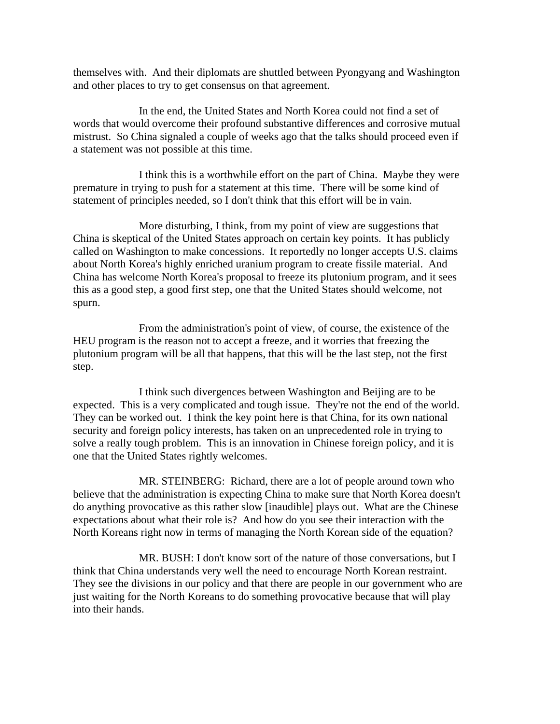themselves with. And their diplomats are shuttled between Pyongyang and Washington and other places to try to get consensus on that agreement.

In the end, the United States and North Korea could not find a set of words that would overcome their profound substantive differences and corrosive mutual mistrust. So China signaled a couple of weeks ago that the talks should proceed even if a statement was not possible at this time.

I think this is a worthwhile effort on the part of China. Maybe they were premature in trying to push for a statement at this time. There will be some kind of statement of principles needed, so I don't think that this effort will be in vain.

More disturbing, I think, from my point of view are suggestions that China is skeptical of the United States approach on certain key points. It has publicly called on Washington to make concessions. It reportedly no longer accepts U.S. claims about North Korea's highly enriched uranium program to create fissile material. And China has welcome North Korea's proposal to freeze its plutonium program, and it sees this as a good step, a good first step, one that the United States should welcome, not spurn.

From the administration's point of view, of course, the existence of the HEU program is the reason not to accept a freeze, and it worries that freezing the plutonium program will be all that happens, that this will be the last step, not the first step.

I think such divergences between Washington and Beijing are to be expected. This is a very complicated and tough issue. They're not the end of the world. They can be worked out. I think the key point here is that China, for its own national security and foreign policy interests, has taken on an unprecedented role in trying to solve a really tough problem. This is an innovation in Chinese foreign policy, and it is one that the United States rightly welcomes.

MR. STEINBERG: Richard, there are a lot of people around town who believe that the administration is expecting China to make sure that North Korea doesn't do anything provocative as this rather slow [inaudible] plays out. What are the Chinese expectations about what their role is? And how do you see their interaction with the North Koreans right now in terms of managing the North Korean side of the equation?

MR. BUSH: I don't know sort of the nature of those conversations, but I think that China understands very well the need to encourage North Korean restraint. They see the divisions in our policy and that there are people in our government who are just waiting for the North Koreans to do something provocative because that will play into their hands.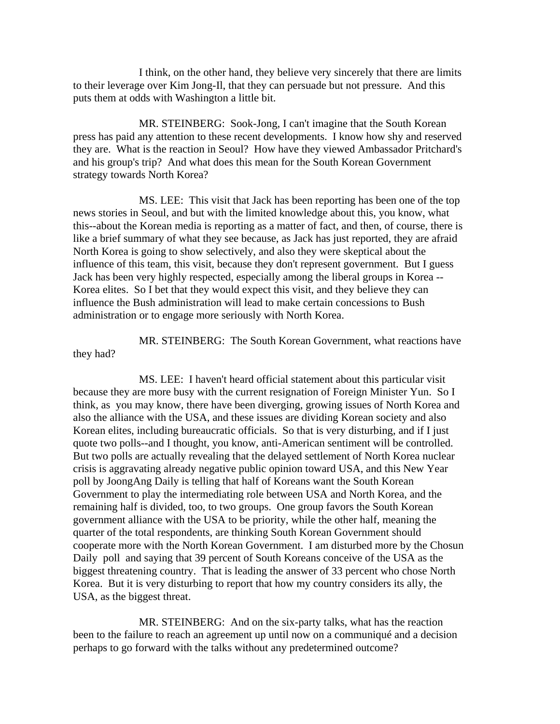I think, on the other hand, they believe very sincerely that there are limits to their leverage over Kim Jong-Il, that they can persuade but not pressure. And this puts them at odds with Washington a little bit.

MR. STEINBERG: Sook-Jong, I can't imagine that the South Korean press has paid any attention to these recent developments. I know how shy and reserved they are. What is the reaction in Seoul? How have they viewed Ambassador Pritchard's and his group's trip? And what does this mean for the South Korean Government strategy towards North Korea?

MS. LEE: This visit that Jack has been reporting has been one of the top news stories in Seoul, and but with the limited knowledge about this, you know, what this--about the Korean media is reporting as a matter of fact, and then, of course, there is like a brief summary of what they see because, as Jack has just reported, they are afraid North Korea is going to show selectively, and also they were skeptical about the influence of this team, this visit, because they don't represent government. But I guess Jack has been very highly respected, especially among the liberal groups in Korea -- Korea elites. So I bet that they would expect this visit, and they believe they can influence the Bush administration will lead to make certain concessions to Bush administration or to engage more seriously with North Korea.

MR. STEINBERG: The South Korean Government, what reactions have they had?

MS. LEE: I haven't heard official statement about this particular visit because they are more busy with the current resignation of Foreign Minister Yun. So I think, as you may know, there have been diverging, growing issues of North Korea and also the alliance with the USA, and these issues are dividing Korean society and also Korean elites, including bureaucratic officials. So that is very disturbing, and if I just quote two polls--and I thought, you know, anti-American sentiment will be controlled. But two polls are actually revealing that the delayed settlement of North Korea nuclear crisis is aggravating already negative public opinion toward USA, and this New Year poll by JoongAng Daily is telling that half of Koreans want the South Korean Government to play the intermediating role between USA and North Korea, and the remaining half is divided, too, to two groups. One group favors the South Korean government alliance with the USA to be priority, while the other half, meaning the quarter of the total respondents, are thinking South Korean Government should cooperate more with the North Korean Government. I am disturbed more by the Chosun Daily poll and saying that 39 percent of South Koreans conceive of the USA as the biggest threatening country. That is leading the answer of 33 percent who chose North Korea. But it is very disturbing to report that how my country considers its ally, the USA, as the biggest threat.

MR. STEINBERG: And on the six-party talks, what has the reaction been to the failure to reach an agreement up until now on a communiqué and a decision perhaps to go forward with the talks without any predetermined outcome?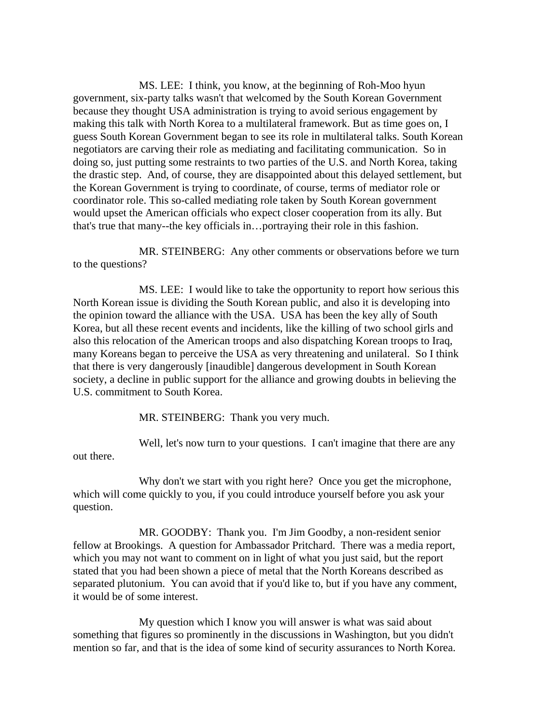MS. LEE: I think, you know, at the beginning of Roh-Moo hyun government, six-party talks wasn't that welcomed by the South Korean Government because they thought USA administration is trying to avoid serious engagement by making this talk with North Korea to a multilateral framework. But as time goes on, I guess South Korean Government began to see its role in multilateral talks. South Korean negotiators are carving their role as mediating and facilitating communication. So in doing so, just putting some restraints to two parties of the U.S. and North Korea, taking the drastic step. And, of course, they are disappointed about this delayed settlement, but the Korean Government is trying to coordinate, of course, terms of mediator role or coordinator role. This so-called mediating role taken by South Korean government would upset the American officials who expect closer cooperation from its ally. But that's true that many--the key officials in…portraying their role in this fashion.

MR. STEINBERG: Any other comments or observations before we turn to the questions?

MS. LEE: I would like to take the opportunity to report how serious this North Korean issue is dividing the South Korean public, and also it is developing into the opinion toward the alliance with the USA. USA has been the key ally of South Korea, but all these recent events and incidents, like the killing of two school girls and also this relocation of the American troops and also dispatching Korean troops to Iraq, many Koreans began to perceive the USA as very threatening and unilateral. So I think that there is very dangerously [inaudible] dangerous development in South Korean society, a decline in public support for the alliance and growing doubts in believing the U.S. commitment to South Korea.

MR. STEINBERG: Thank you very much.

Well, let's now turn to your questions. I can't imagine that there are any out there.

Why don't we start with you right here? Once you get the microphone, which will come quickly to you, if you could introduce yourself before you ask your question.

MR. GOODBY: Thank you. I'm Jim Goodby, a non-resident senior fellow at Brookings. A question for Ambassador Pritchard. There was a media report, which you may not want to comment on in light of what you just said, but the report stated that you had been shown a piece of metal that the North Koreans described as separated plutonium. You can avoid that if you'd like to, but if you have any comment, it would be of some interest.

My question which I know you will answer is what was said about something that figures so prominently in the discussions in Washington, but you didn't mention so far, and that is the idea of some kind of security assurances to North Korea.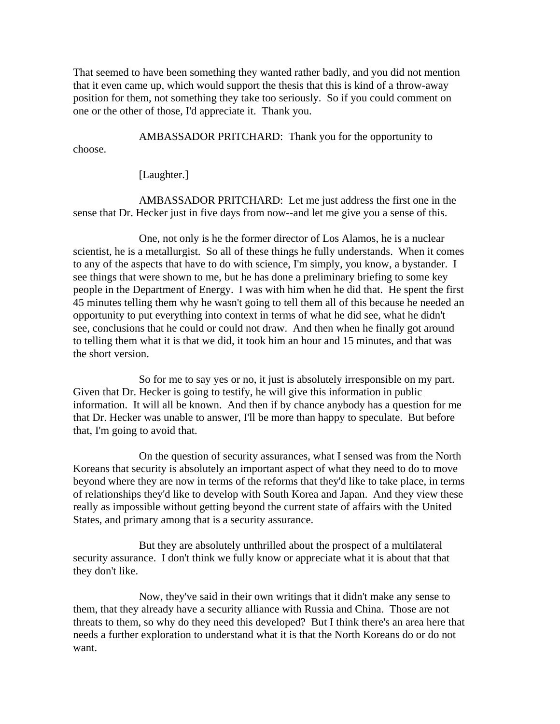That seemed to have been something they wanted rather badly, and you did not mention that it even came up, which would support the thesis that this is kind of a throw-away position for them, not something they take too seriously. So if you could comment on one or the other of those, I'd appreciate it. Thank you.

AMBASSADOR PRITCHARD: Thank you for the opportunity to

choose.

[Laughter.]

AMBASSADOR PRITCHARD: Let me just address the first one in the sense that Dr. Hecker just in five days from now--and let me give you a sense of this.

One, not only is he the former director of Los Alamos, he is a nuclear scientist, he is a metallurgist. So all of these things he fully understands. When it comes to any of the aspects that have to do with science, I'm simply, you know, a bystander. I see things that were shown to me, but he has done a preliminary briefing to some key people in the Department of Energy. I was with him when he did that. He spent the first 45 minutes telling them why he wasn't going to tell them all of this because he needed an opportunity to put everything into context in terms of what he did see, what he didn't see, conclusions that he could or could not draw. And then when he finally got around to telling them what it is that we did, it took him an hour and 15 minutes, and that was the short version.

So for me to say yes or no, it just is absolutely irresponsible on my part. Given that Dr. Hecker is going to testify, he will give this information in public information. It will all be known. And then if by chance anybody has a question for me that Dr. Hecker was unable to answer, I'll be more than happy to speculate. But before that, I'm going to avoid that.

On the question of security assurances, what I sensed was from the North Koreans that security is absolutely an important aspect of what they need to do to move beyond where they are now in terms of the reforms that they'd like to take place, in terms of relationships they'd like to develop with South Korea and Japan. And they view these really as impossible without getting beyond the current state of affairs with the United States, and primary among that is a security assurance.

But they are absolutely unthrilled about the prospect of a multilateral security assurance. I don't think we fully know or appreciate what it is about that that they don't like.

Now, they've said in their own writings that it didn't make any sense to them, that they already have a security alliance with Russia and China. Those are not threats to them, so why do they need this developed? But I think there's an area here that needs a further exploration to understand what it is that the North Koreans do or do not want.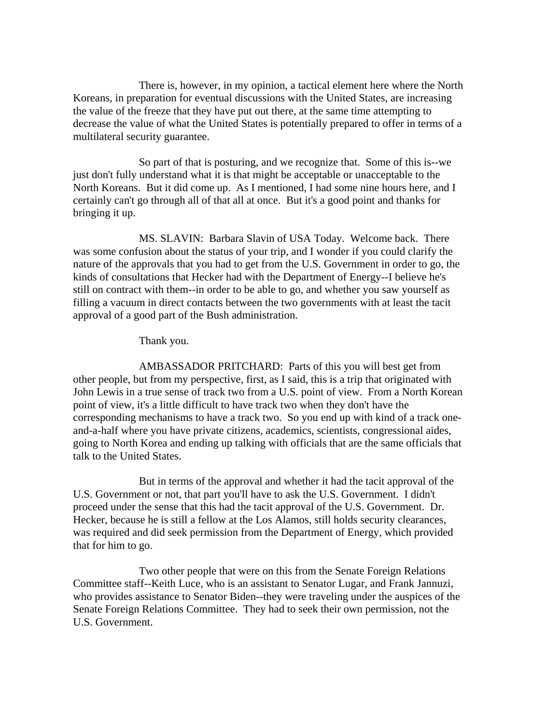There is, however, in my opinion, a tactical element here where the North Koreans, in preparation for eventual discussions with the United States, are increasing the value of the freeze that they have put out there, at the same time attempting to decrease the value of what the United States is potentially prepared to offer in terms of a multilateral security guarantee.

So part of that is posturing, and we recognize that. Some of this is--we just don't fully understand what it is that might be acceptable or unacceptable to the North Koreans. But it did come up. As I mentioned, I had some nine hours here, and I certainly can't go through all of that all at once. But it's a good point and thanks for bringing it up.

MS. SLAVIN: Barbara Slavin of USA Today. Welcome back. There was some confusion about the status of your trip, and I wonder if you could clarify the nature of the approvals that you had to get from the U.S. Government in order to go, the kinds of consultations that Hecker had with the Department of Energy--I believe he's still on contract with them--in order to be able to go, and whether you saw yourself as filling a vacuum in direct contacts between the two governments with at least the tacit approval of a good part of the Bush administration.

Thank you.

AMBASSADOR PRITCHARD: Parts of this you will best get from other people, but from my perspective, first, as I said, this is a trip that originated with John Lewis in a true sense of track two from a U.S. point of view. From a North Korean point of view, it's a little difficult to have track two when they don't have the corresponding mechanisms to have a track two. So you end up with kind of a track oneand-a-half where you have private citizens, academics, scientists, congressional aides, going to North Korea and ending up talking with officials that are the same officials that talk to the United States.

But in terms of the approval and whether it had the tacit approval of the U.S. Government or not, that part you'll have to ask the U.S. Government. I didn't proceed under the sense that this had the tacit approval of the U.S. Government. Dr. Hecker, because he is still a fellow at the Los Alamos, still holds security clearances, was required and did seek permission from the Department of Energy, which provided that for him to go.

Two other people that were on this from the Senate Foreign Relations Committee staff--Keith Luce, who is an assistant to Senator Lugar, and Frank Jannuzi, who provides assistance to Senator Biden--they were traveling under the auspices of the Senate Foreign Relations Committee. They had to seek their own permission, not the U.S. Government.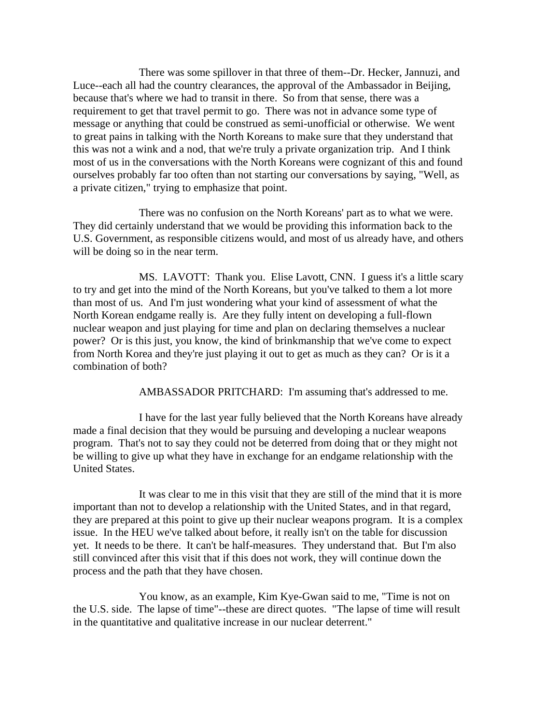There was some spillover in that three of them--Dr. Hecker, Jannuzi, and Luce--each all had the country clearances, the approval of the Ambassador in Beijing, because that's where we had to transit in there. So from that sense, there was a requirement to get that travel permit to go. There was not in advance some type of message or anything that could be construed as semi-unofficial or otherwise. We went to great pains in talking with the North Koreans to make sure that they understand that this was not a wink and a nod, that we're truly a private organization trip. And I think most of us in the conversations with the North Koreans were cognizant of this and found ourselves probably far too often than not starting our conversations by saying, "Well, as a private citizen," trying to emphasize that point.

There was no confusion on the North Koreans' part as to what we were. They did certainly understand that we would be providing this information back to the U.S. Government, as responsible citizens would, and most of us already have, and others will be doing so in the near term.

MS. LAVOTT: Thank you. Elise Lavott, CNN. I guess it's a little scary to try and get into the mind of the North Koreans, but you've talked to them a lot more than most of us. And I'm just wondering what your kind of assessment of what the North Korean endgame really is. Are they fully intent on developing a full-flown nuclear weapon and just playing for time and plan on declaring themselves a nuclear power? Or is this just, you know, the kind of brinkmanship that we've come to expect from North Korea and they're just playing it out to get as much as they can? Or is it a combination of both?

AMBASSADOR PRITCHARD: I'm assuming that's addressed to me.

I have for the last year fully believed that the North Koreans have already made a final decision that they would be pursuing and developing a nuclear weapons program. That's not to say they could not be deterred from doing that or they might not be willing to give up what they have in exchange for an endgame relationship with the United States.

It was clear to me in this visit that they are still of the mind that it is more important than not to develop a relationship with the United States, and in that regard, they are prepared at this point to give up their nuclear weapons program. It is a complex issue. In the HEU we've talked about before, it really isn't on the table for discussion yet. It needs to be there. It can't be half-measures. They understand that. But I'm also still convinced after this visit that if this does not work, they will continue down the process and the path that they have chosen.

You know, as an example, Kim Kye-Gwan said to me, "Time is not on the U.S. side. The lapse of time"--these are direct quotes. "The lapse of time will result in the quantitative and qualitative increase in our nuclear deterrent."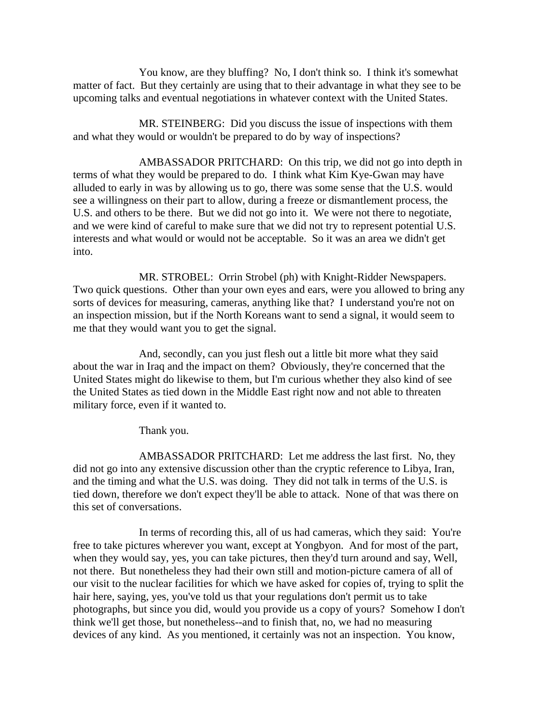You know, are they bluffing? No, I don't think so. I think it's somewhat matter of fact. But they certainly are using that to their advantage in what they see to be upcoming talks and eventual negotiations in whatever context with the United States.

MR. STEINBERG: Did you discuss the issue of inspections with them and what they would or wouldn't be prepared to do by way of inspections?

AMBASSADOR PRITCHARD: On this trip, we did not go into depth in terms of what they would be prepared to do. I think what Kim Kye-Gwan may have alluded to early in was by allowing us to go, there was some sense that the U.S. would see a willingness on their part to allow, during a freeze or dismantlement process, the U.S. and others to be there. But we did not go into it. We were not there to negotiate, and we were kind of careful to make sure that we did not try to represent potential U.S. interests and what would or would not be acceptable. So it was an area we didn't get into.

MR. STROBEL: Orrin Strobel (ph) with Knight-Ridder Newspapers. Two quick questions. Other than your own eyes and ears, were you allowed to bring any sorts of devices for measuring, cameras, anything like that? I understand you're not on an inspection mission, but if the North Koreans want to send a signal, it would seem to me that they would want you to get the signal.

And, secondly, can you just flesh out a little bit more what they said about the war in Iraq and the impact on them? Obviously, they're concerned that the United States might do likewise to them, but I'm curious whether they also kind of see the United States as tied down in the Middle East right now and not able to threaten military force, even if it wanted to.

Thank you.

AMBASSADOR PRITCHARD: Let me address the last first. No, they did not go into any extensive discussion other than the cryptic reference to Libya, Iran, and the timing and what the U.S. was doing. They did not talk in terms of the U.S. is tied down, therefore we don't expect they'll be able to attack. None of that was there on this set of conversations.

In terms of recording this, all of us had cameras, which they said: You're free to take pictures wherever you want, except at Yongbyon. And for most of the part, when they would say, yes, you can take pictures, then they'd turn around and say, Well, not there. But nonetheless they had their own still and motion-picture camera of all of our visit to the nuclear facilities for which we have asked for copies of, trying to split the hair here, saying, yes, you've told us that your regulations don't permit us to take photographs, but since you did, would you provide us a copy of yours? Somehow I don't think we'll get those, but nonetheless--and to finish that, no, we had no measuring devices of any kind. As you mentioned, it certainly was not an inspection. You know,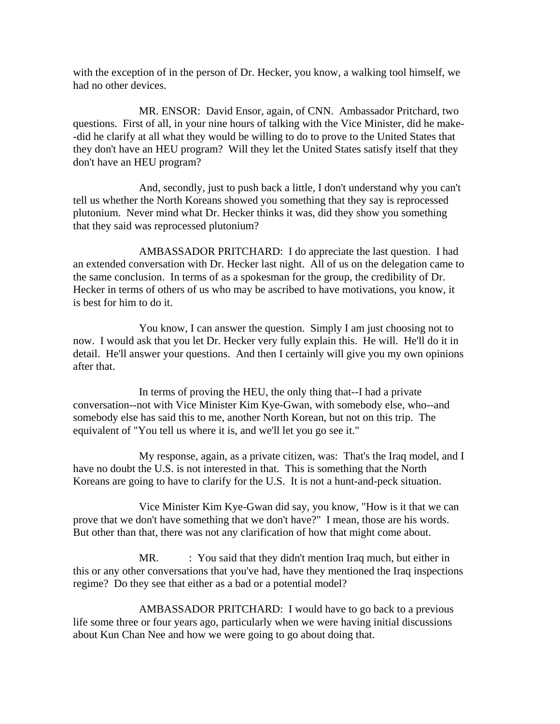with the exception of in the person of Dr. Hecker, you know, a walking tool himself, we had no other devices.

MR. ENSOR: David Ensor, again, of CNN. Ambassador Pritchard, two questions. First of all, in your nine hours of talking with the Vice Minister, did he make- -did he clarify at all what they would be willing to do to prove to the United States that they don't have an HEU program? Will they let the United States satisfy itself that they don't have an HEU program?

And, secondly, just to push back a little, I don't understand why you can't tell us whether the North Koreans showed you something that they say is reprocessed plutonium. Never mind what Dr. Hecker thinks it was, did they show you something that they said was reprocessed plutonium?

AMBASSADOR PRITCHARD: I do appreciate the last question. I had an extended conversation with Dr. Hecker last night. All of us on the delegation came to the same conclusion. In terms of as a spokesman for the group, the credibility of Dr. Hecker in terms of others of us who may be ascribed to have motivations, you know, it is best for him to do it.

You know, I can answer the question. Simply I am just choosing not to now. I would ask that you let Dr. Hecker very fully explain this. He will. He'll do it in detail. He'll answer your questions. And then I certainly will give you my own opinions after that.

In terms of proving the HEU, the only thing that--I had a private conversation--not with Vice Minister Kim Kye-Gwan, with somebody else, who--and somebody else has said this to me, another North Korean, but not on this trip. The equivalent of "You tell us where it is, and we'll let you go see it."

My response, again, as a private citizen, was: That's the Iraq model, and I have no doubt the U.S. is not interested in that. This is something that the North Koreans are going to have to clarify for the U.S. It is not a hunt-and-peck situation.

Vice Minister Kim Kye-Gwan did say, you know, "How is it that we can prove that we don't have something that we don't have?" I mean, those are his words. But other than that, there was not any clarification of how that might come about.

MR. : You said that they didn't mention Iraq much, but either in this or any other conversations that you've had, have they mentioned the Iraq inspections regime? Do they see that either as a bad or a potential model?

AMBASSADOR PRITCHARD: I would have to go back to a previous life some three or four years ago, particularly when we were having initial discussions about Kun Chan Nee and how we were going to go about doing that.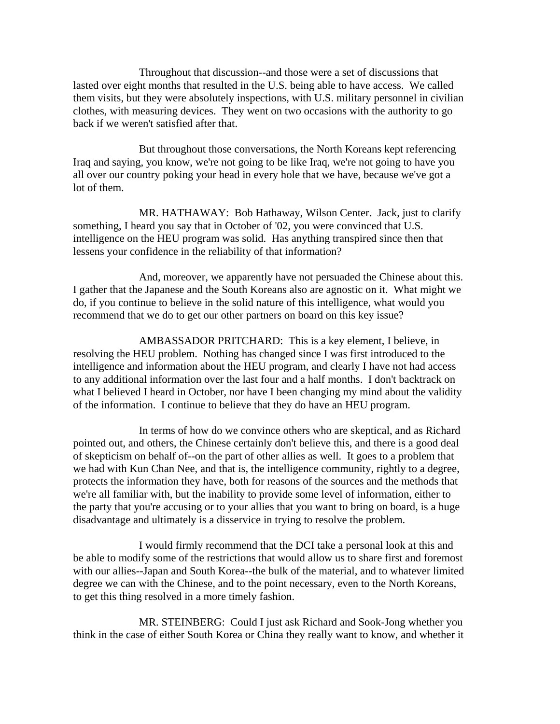Throughout that discussion--and those were a set of discussions that lasted over eight months that resulted in the U.S. being able to have access. We called them visits, but they were absolutely inspections, with U.S. military personnel in civilian clothes, with measuring devices. They went on two occasions with the authority to go back if we weren't satisfied after that.

But throughout those conversations, the North Koreans kept referencing Iraq and saying, you know, we're not going to be like Iraq, we're not going to have you all over our country poking your head in every hole that we have, because we've got a lot of them.

MR. HATHAWAY: Bob Hathaway, Wilson Center. Jack, just to clarify something, I heard you say that in October of '02, you were convinced that U.S. intelligence on the HEU program was solid. Has anything transpired since then that lessens your confidence in the reliability of that information?

And, moreover, we apparently have not persuaded the Chinese about this. I gather that the Japanese and the South Koreans also are agnostic on it. What might we do, if you continue to believe in the solid nature of this intelligence, what would you recommend that we do to get our other partners on board on this key issue?

AMBASSADOR PRITCHARD: This is a key element, I believe, in resolving the HEU problem. Nothing has changed since I was first introduced to the intelligence and information about the HEU program, and clearly I have not had access to any additional information over the last four and a half months. I don't backtrack on what I believed I heard in October, nor have I been changing my mind about the validity of the information. I continue to believe that they do have an HEU program.

In terms of how do we convince others who are skeptical, and as Richard pointed out, and others, the Chinese certainly don't believe this, and there is a good deal of skepticism on behalf of--on the part of other allies as well. It goes to a problem that we had with Kun Chan Nee, and that is, the intelligence community, rightly to a degree, protects the information they have, both for reasons of the sources and the methods that we're all familiar with, but the inability to provide some level of information, either to the party that you're accusing or to your allies that you want to bring on board, is a huge disadvantage and ultimately is a disservice in trying to resolve the problem.

I would firmly recommend that the DCI take a personal look at this and be able to modify some of the restrictions that would allow us to share first and foremost with our allies--Japan and South Korea--the bulk of the material, and to whatever limited degree we can with the Chinese, and to the point necessary, even to the North Koreans, to get this thing resolved in a more timely fashion.

MR. STEINBERG: Could I just ask Richard and Sook-Jong whether you think in the case of either South Korea or China they really want to know, and whether it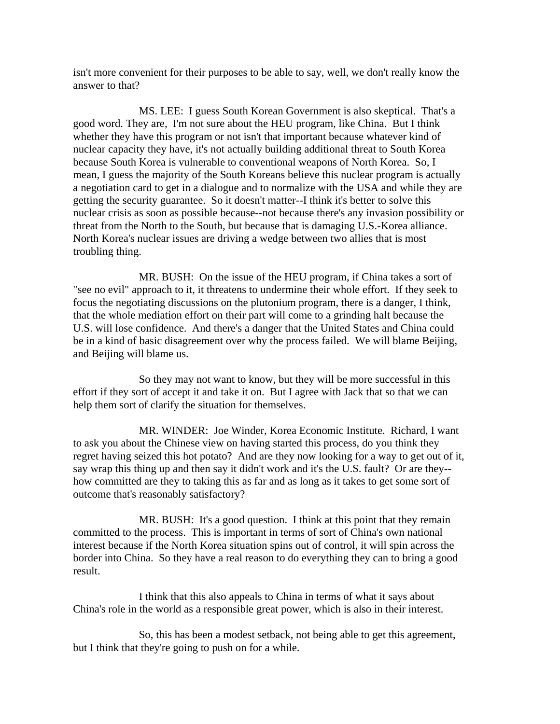isn't more convenient for their purposes to be able to say, well, we don't really know the answer to that?

MS. LEE: I guess South Korean Government is also skeptical. That's a good word. They are, I'm not sure about the HEU program, like China. But I think whether they have this program or not isn't that important because whatever kind of nuclear capacity they have, it's not actually building additional threat to South Korea because South Korea is vulnerable to conventional weapons of North Korea. So, I mean, I guess the majority of the South Koreans believe this nuclear program is actually a negotiation card to get in a dialogue and to normalize with the USA and while they are getting the security guarantee. So it doesn't matter--I think it's better to solve this nuclear crisis as soon as possible because--not because there's any invasion possibility or threat from the North to the South, but because that is damaging U.S.-Korea alliance. North Korea's nuclear issues are driving a wedge between two allies that is most troubling thing.

MR. BUSH: On the issue of the HEU program, if China takes a sort of "see no evil" approach to it, it threatens to undermine their whole effort. If they seek to focus the negotiating discussions on the plutonium program, there is a danger, I think, that the whole mediation effort on their part will come to a grinding halt because the U.S. will lose confidence. And there's a danger that the United States and China could be in a kind of basic disagreement over why the process failed. We will blame Beijing, and Beijing will blame us.

So they may not want to know, but they will be more successful in this effort if they sort of accept it and take it on. But I agree with Jack that so that we can help them sort of clarify the situation for themselves.

MR. WINDER: Joe Winder, Korea Economic Institute. Richard, I want to ask you about the Chinese view on having started this process, do you think they regret having seized this hot potato? And are they now looking for a way to get out of it, say wrap this thing up and then say it didn't work and it's the U.S. fault? Or are they- how committed are they to taking this as far and as long as it takes to get some sort of outcome that's reasonably satisfactory?

MR. BUSH: It's a good question. I think at this point that they remain committed to the process. This is important in terms of sort of China's own national interest because if the North Korea situation spins out of control, it will spin across the border into China. So they have a real reason to do everything they can to bring a good result.

I think that this also appeals to China in terms of what it says about China's role in the world as a responsible great power, which is also in their interest.

So, this has been a modest setback, not being able to get this agreement, but I think that they're going to push on for a while.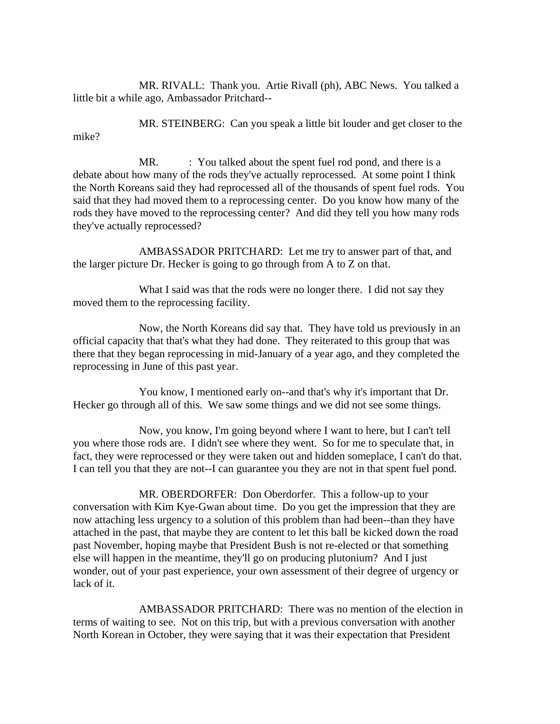MR. RIVALL: Thank you. Artie Rivall (ph), ABC News. You talked a little bit a while ago, Ambassador Pritchard--

MR. STEINBERG: Can you speak a little bit louder and get closer to the mike?

MR. : You talked about the spent fuel rod pond, and there is a debate about how many of the rods they've actually reprocessed. At some point I think the North Koreans said they had reprocessed all of the thousands of spent fuel rods. You said that they had moved them to a reprocessing center. Do you know how many of the rods they have moved to the reprocessing center? And did they tell you how many rods they've actually reprocessed?

AMBASSADOR PRITCHARD: Let me try to answer part of that, and the larger picture Dr. Hecker is going to go through from A to Z on that.

What I said was that the rods were no longer there. I did not say they moved them to the reprocessing facility.

Now, the North Koreans did say that. They have told us previously in an official capacity that that's what they had done. They reiterated to this group that was there that they began reprocessing in mid-January of a year ago, and they completed the reprocessing in June of this past year.

You know, I mentioned early on--and that's why it's important that Dr. Hecker go through all of this. We saw some things and we did not see some things.

Now, you know, I'm going beyond where I want to here, but I can't tell you where those rods are. I didn't see where they went. So for me to speculate that, in fact, they were reprocessed or they were taken out and hidden someplace, I can't do that. I can tell you that they are not--I can guarantee you they are not in that spent fuel pond.

MR. OBERDORFER: Don Oberdorfer. This a follow-up to your conversation with Kim Kye-Gwan about time. Do you get the impression that they are now attaching less urgency to a solution of this problem than had been--than they have attached in the past, that maybe they are content to let this ball be kicked down the road past November, hoping maybe that President Bush is not re-elected or that something else will happen in the meantime, they'll go on producing plutonium? And I just wonder, out of your past experience, your own assessment of their degree of urgency or lack of it.

AMBASSADOR PRITCHARD: There was no mention of the election in terms of waiting to see. Not on this trip, but with a previous conversation with another North Korean in October, they were saying that it was their expectation that President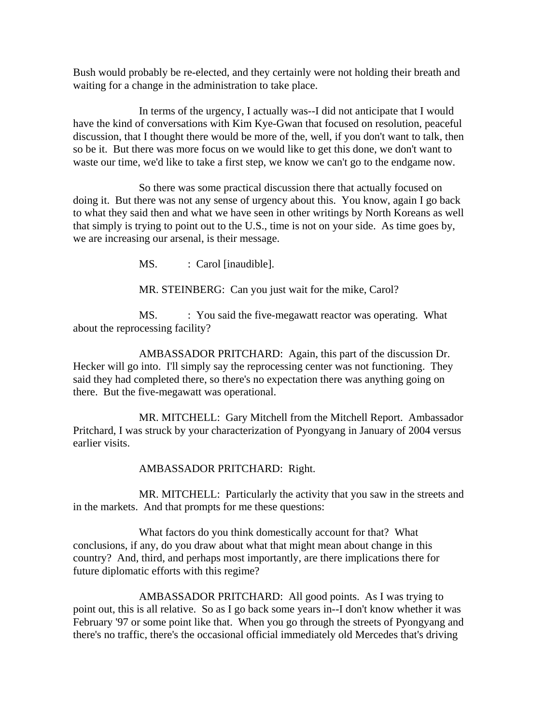Bush would probably be re-elected, and they certainly were not holding their breath and waiting for a change in the administration to take place.

In terms of the urgency, I actually was--I did not anticipate that I would have the kind of conversations with Kim Kye-Gwan that focused on resolution, peaceful discussion, that I thought there would be more of the, well, if you don't want to talk, then so be it. But there was more focus on we would like to get this done, we don't want to waste our time, we'd like to take a first step, we know we can't go to the endgame now.

So there was some practical discussion there that actually focused on doing it. But there was not any sense of urgency about this. You know, again I go back to what they said then and what we have seen in other writings by North Koreans as well that simply is trying to point out to the U.S., time is not on your side. As time goes by, we are increasing our arsenal, is their message.

MS. : Carol [inaudible].

MR. STEINBERG: Can you just wait for the mike, Carol?

MS. : You said the five-megawatt reactor was operating. What about the reprocessing facility?

AMBASSADOR PRITCHARD: Again, this part of the discussion Dr. Hecker will go into. I'll simply say the reprocessing center was not functioning. They said they had completed there, so there's no expectation there was anything going on there. But the five-megawatt was operational.

MR. MITCHELL: Gary Mitchell from the Mitchell Report. Ambassador Pritchard, I was struck by your characterization of Pyongyang in January of 2004 versus earlier visits.

AMBASSADOR PRITCHARD: Right.

MR. MITCHELL: Particularly the activity that you saw in the streets and in the markets. And that prompts for me these questions:

What factors do you think domestically account for that? What conclusions, if any, do you draw about what that might mean about change in this country? And, third, and perhaps most importantly, are there implications there for future diplomatic efforts with this regime?

AMBASSADOR PRITCHARD: All good points. As I was trying to point out, this is all relative. So as I go back some years in--I don't know whether it was February '97 or some point like that. When you go through the streets of Pyongyang and there's no traffic, there's the occasional official immediately old Mercedes that's driving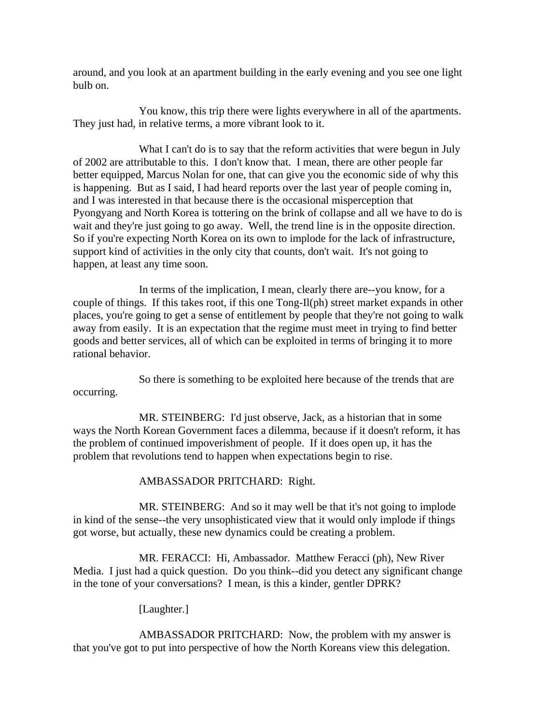around, and you look at an apartment building in the early evening and you see one light bulb on.

You know, this trip there were lights everywhere in all of the apartments. They just had, in relative terms, a more vibrant look to it.

What I can't do is to say that the reform activities that were begun in July of 2002 are attributable to this. I don't know that. I mean, there are other people far better equipped, Marcus Nolan for one, that can give you the economic side of why this is happening. But as I said, I had heard reports over the last year of people coming in, and I was interested in that because there is the occasional misperception that Pyongyang and North Korea is tottering on the brink of collapse and all we have to do is wait and they're just going to go away. Well, the trend line is in the opposite direction. So if you're expecting North Korea on its own to implode for the lack of infrastructure, support kind of activities in the only city that counts, don't wait. It's not going to happen, at least any time soon.

In terms of the implication, I mean, clearly there are--you know, for a couple of things. If this takes root, if this one Tong-Il(ph) street market expands in other places, you're going to get a sense of entitlement by people that they're not going to walk away from easily. It is an expectation that the regime must meet in trying to find better goods and better services, all of which can be exploited in terms of bringing it to more rational behavior.

So there is something to be exploited here because of the trends that are occurring.

MR. STEINBERG: I'd just observe, Jack, as a historian that in some ways the North Korean Government faces a dilemma, because if it doesn't reform, it has the problem of continued impoverishment of people. If it does open up, it has the problem that revolutions tend to happen when expectations begin to rise.

#### AMBASSADOR PRITCHARD: Right.

MR. STEINBERG: And so it may well be that it's not going to implode in kind of the sense--the very unsophisticated view that it would only implode if things got worse, but actually, these new dynamics could be creating a problem.

MR. FERACCI: Hi, Ambassador. Matthew Feracci (ph), New River Media. I just had a quick question. Do you think--did you detect any significant change in the tone of your conversations? I mean, is this a kinder, gentler DPRK?

[Laughter.]

AMBASSADOR PRITCHARD: Now, the problem with my answer is that you've got to put into perspective of how the North Koreans view this delegation.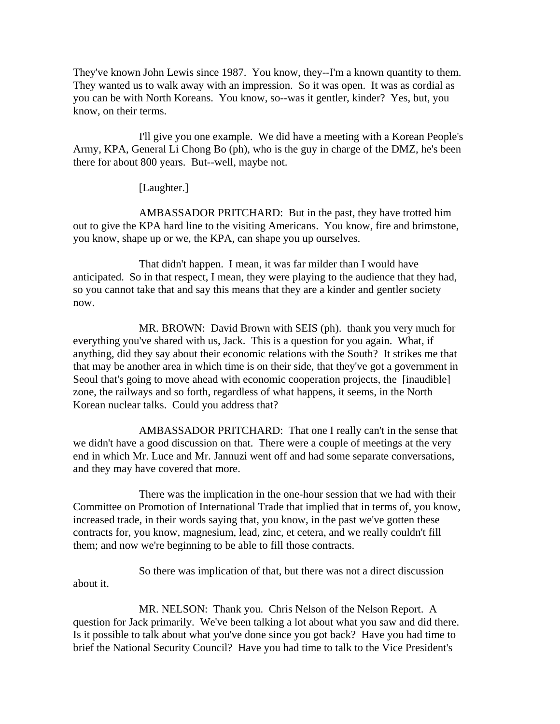They've known John Lewis since 1987. You know, they--I'm a known quantity to them. They wanted us to walk away with an impression. So it was open. It was as cordial as you can be with North Koreans. You know, so--was it gentler, kinder? Yes, but, you know, on their terms.

I'll give you one example. We did have a meeting with a Korean People's Army, KPA, General Li Chong Bo (ph), who is the guy in charge of the DMZ, he's been there for about 800 years. But--well, maybe not.

[Laughter.]

AMBASSADOR PRITCHARD: But in the past, they have trotted him out to give the KPA hard line to the visiting Americans. You know, fire and brimstone, you know, shape up or we, the KPA, can shape you up ourselves.

That didn't happen. I mean, it was far milder than I would have anticipated. So in that respect, I mean, they were playing to the audience that they had, so you cannot take that and say this means that they are a kinder and gentler society now.

MR. BROWN: David Brown with SEIS (ph). thank you very much for everything you've shared with us, Jack. This is a question for you again. What, if anything, did they say about their economic relations with the South? It strikes me that that may be another area in which time is on their side, that they've got a government in Seoul that's going to move ahead with economic cooperation projects, the [inaudible] zone, the railways and so forth, regardless of what happens, it seems, in the North Korean nuclear talks. Could you address that?

AMBASSADOR PRITCHARD: That one I really can't in the sense that we didn't have a good discussion on that. There were a couple of meetings at the very end in which Mr. Luce and Mr. Jannuzi went off and had some separate conversations, and they may have covered that more.

There was the implication in the one-hour session that we had with their Committee on Promotion of International Trade that implied that in terms of, you know, increased trade, in their words saying that, you know, in the past we've gotten these contracts for, you know, magnesium, lead, zinc, et cetera, and we really couldn't fill them; and now we're beginning to be able to fill those contracts.

So there was implication of that, but there was not a direct discussion about it.

MR. NELSON: Thank you. Chris Nelson of the Nelson Report. A question for Jack primarily. We've been talking a lot about what you saw and did there. Is it possible to talk about what you've done since you got back? Have you had time to brief the National Security Council? Have you had time to talk to the Vice President's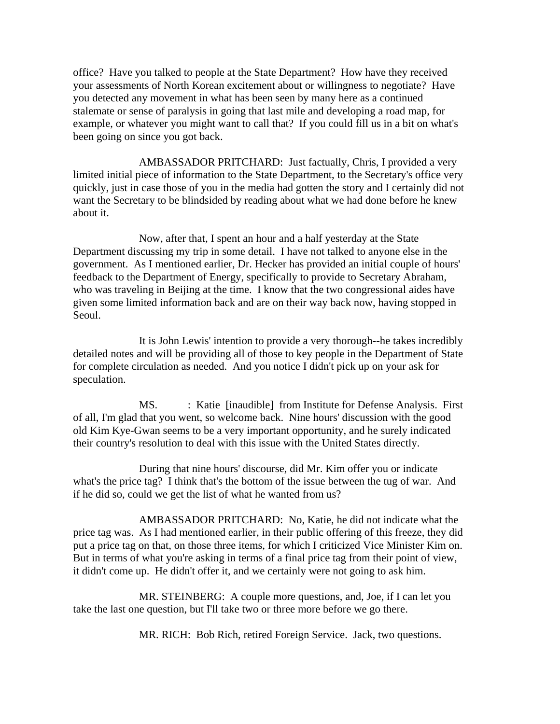office? Have you talked to people at the State Department? How have they received your assessments of North Korean excitement about or willingness to negotiate? Have you detected any movement in what has been seen by many here as a continued stalemate or sense of paralysis in going that last mile and developing a road map, for example, or whatever you might want to call that? If you could fill us in a bit on what's been going on since you got back.

AMBASSADOR PRITCHARD: Just factually, Chris, I provided a very limited initial piece of information to the State Department, to the Secretary's office very quickly, just in case those of you in the media had gotten the story and I certainly did not want the Secretary to be blindsided by reading about what we had done before he knew about it.

Now, after that, I spent an hour and a half yesterday at the State Department discussing my trip in some detail. I have not talked to anyone else in the government. As I mentioned earlier, Dr. Hecker has provided an initial couple of hours' feedback to the Department of Energy, specifically to provide to Secretary Abraham, who was traveling in Beijing at the time. I know that the two congressional aides have given some limited information back and are on their way back now, having stopped in Seoul.

It is John Lewis' intention to provide a very thorough--he takes incredibly detailed notes and will be providing all of those to key people in the Department of State for complete circulation as needed. And you notice I didn't pick up on your ask for speculation.

MS. : Katie [inaudible] from Institute for Defense Analysis. First of all, I'm glad that you went, so welcome back. Nine hours' discussion with the good old Kim Kye-Gwan seems to be a very important opportunity, and he surely indicated their country's resolution to deal with this issue with the United States directly.

During that nine hours' discourse, did Mr. Kim offer you or indicate what's the price tag? I think that's the bottom of the issue between the tug of war. And if he did so, could we get the list of what he wanted from us?

AMBASSADOR PRITCHARD: No, Katie, he did not indicate what the price tag was. As I had mentioned earlier, in their public offering of this freeze, they did put a price tag on that, on those three items, for which I criticized Vice Minister Kim on. But in terms of what you're asking in terms of a final price tag from their point of view, it didn't come up. He didn't offer it, and we certainly were not going to ask him.

MR. STEINBERG: A couple more questions, and, Joe, if I can let you take the last one question, but I'll take two or three more before we go there.

MR. RICH: Bob Rich, retired Foreign Service. Jack, two questions.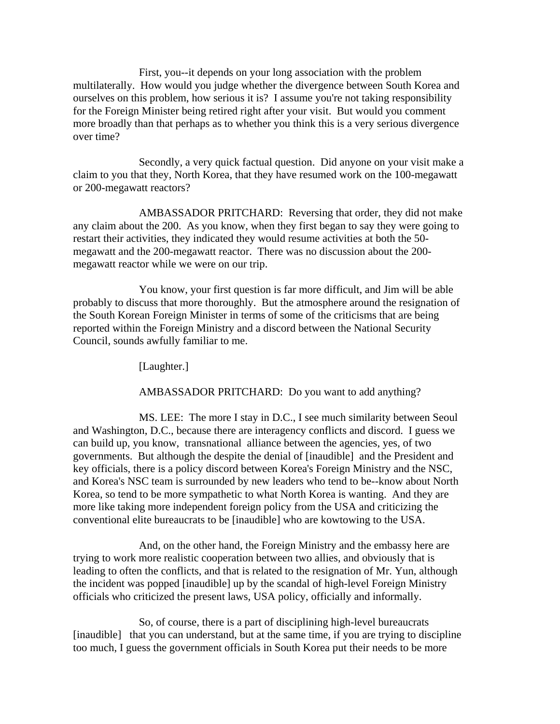First, you--it depends on your long association with the problem multilaterally. How would you judge whether the divergence between South Korea and ourselves on this problem, how serious it is? I assume you're not taking responsibility for the Foreign Minister being retired right after your visit. But would you comment more broadly than that perhaps as to whether you think this is a very serious divergence over time?

Secondly, a very quick factual question. Did anyone on your visit make a claim to you that they, North Korea, that they have resumed work on the 100-megawatt or 200-megawatt reactors?

AMBASSADOR PRITCHARD: Reversing that order, they did not make any claim about the 200. As you know, when they first began to say they were going to restart their activities, they indicated they would resume activities at both the 50 megawatt and the 200-megawatt reactor. There was no discussion about the 200 megawatt reactor while we were on our trip.

You know, your first question is far more difficult, and Jim will be able probably to discuss that more thoroughly. But the atmosphere around the resignation of the South Korean Foreign Minister in terms of some of the criticisms that are being reported within the Foreign Ministry and a discord between the National Security Council, sounds awfully familiar to me.

[Laughter.]

AMBASSADOR PRITCHARD: Do you want to add anything?

MS. LEE: The more I stay in D.C., I see much similarity between Seoul and Washington, D.C., because there are interagency conflicts and discord. I guess we can build up, you know, transnational alliance between the agencies, yes, of two governments. But although the despite the denial of [inaudible] and the President and key officials, there is a policy discord between Korea's Foreign Ministry and the NSC, and Korea's NSC team is surrounded by new leaders who tend to be--know about North Korea, so tend to be more sympathetic to what North Korea is wanting. And they are more like taking more independent foreign policy from the USA and criticizing the conventional elite bureaucrats to be [inaudible] who are kowtowing to the USA.

And, on the other hand, the Foreign Ministry and the embassy here are trying to work more realistic cooperation between two allies, and obviously that is leading to often the conflicts, and that is related to the resignation of Mr. Yun, although the incident was popped [inaudible] up by the scandal of high-level Foreign Ministry officials who criticized the present laws, USA policy, officially and informally.

So, of course, there is a part of disciplining high-level bureaucrats [inaudible] that you can understand, but at the same time, if you are trying to discipline too much, I guess the government officials in South Korea put their needs to be more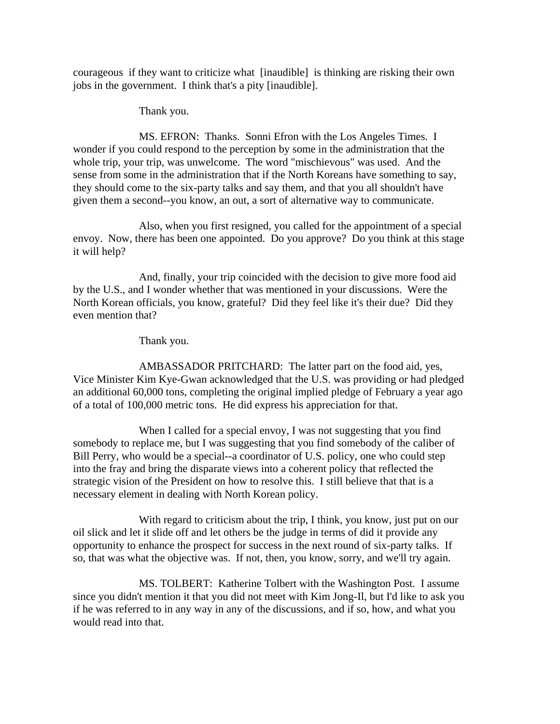courageous if they want to criticize what [inaudible] is thinking are risking their own jobs in the government. I think that's a pity [inaudible].

Thank you.

MS. EFRON: Thanks. Sonni Efron with the Los Angeles Times. I wonder if you could respond to the perception by some in the administration that the whole trip, your trip, was unwelcome. The word "mischievous" was used. And the sense from some in the administration that if the North Koreans have something to say, they should come to the six-party talks and say them, and that you all shouldn't have given them a second--you know, an out, a sort of alternative way to communicate.

Also, when you first resigned, you called for the appointment of a special envoy. Now, there has been one appointed. Do you approve? Do you think at this stage it will help?

And, finally, your trip coincided with the decision to give more food aid by the U.S., and I wonder whether that was mentioned in your discussions. Were the North Korean officials, you know, grateful? Did they feel like it's their due? Did they even mention that?

Thank you.

AMBASSADOR PRITCHARD: The latter part on the food aid, yes, Vice Minister Kim Kye-Gwan acknowledged that the U.S. was providing or had pledged an additional 60,000 tons, completing the original implied pledge of February a year ago of a total of 100,000 metric tons. He did express his appreciation for that.

When I called for a special envoy, I was not suggesting that you find somebody to replace me, but I was suggesting that you find somebody of the caliber of Bill Perry, who would be a special--a coordinator of U.S. policy, one who could step into the fray and bring the disparate views into a coherent policy that reflected the strategic vision of the President on how to resolve this. I still believe that that is a necessary element in dealing with North Korean policy.

With regard to criticism about the trip, I think, you know, just put on our oil slick and let it slide off and let others be the judge in terms of did it provide any opportunity to enhance the prospect for success in the next round of six-party talks. If so, that was what the objective was. If not, then, you know, sorry, and we'll try again.

MS. TOLBERT: Katherine Tolbert with the Washington Post. I assume since you didn't mention it that you did not meet with Kim Jong-Il, but I'd like to ask you if he was referred to in any way in any of the discussions, and if so, how, and what you would read into that.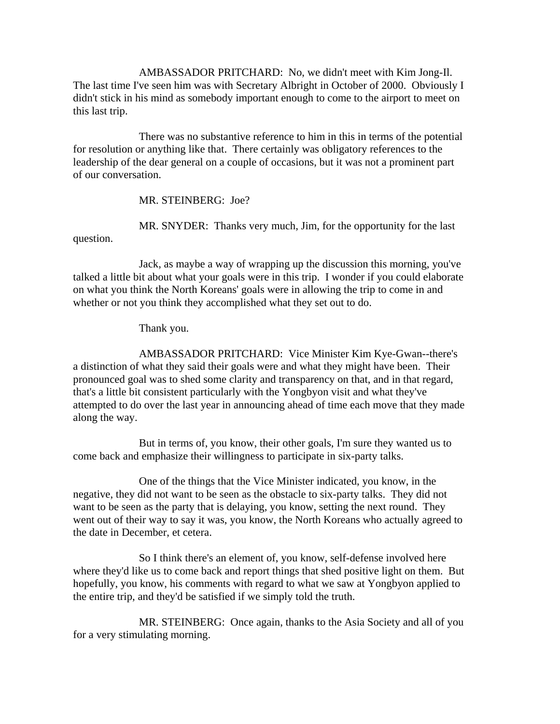AMBASSADOR PRITCHARD: No, we didn't meet with Kim Jong-Il. The last time I've seen him was with Secretary Albright in October of 2000. Obviously I didn't stick in his mind as somebody important enough to come to the airport to meet on this last trip.

There was no substantive reference to him in this in terms of the potential for resolution or anything like that. There certainly was obligatory references to the leadership of the dear general on a couple of occasions, but it was not a prominent part of our conversation.

MR. STEINBERG: Joe?

MR. SNYDER: Thanks very much, Jim, for the opportunity for the last

question.

Jack, as maybe a way of wrapping up the discussion this morning, you've talked a little bit about what your goals were in this trip. I wonder if you could elaborate on what you think the North Koreans' goals were in allowing the trip to come in and whether or not you think they accomplished what they set out to do.

Thank you.

AMBASSADOR PRITCHARD: Vice Minister Kim Kye-Gwan--there's a distinction of what they said their goals were and what they might have been. Their pronounced goal was to shed some clarity and transparency on that, and in that regard, that's a little bit consistent particularly with the Yongbyon visit and what they've attempted to do over the last year in announcing ahead of time each move that they made along the way.

But in terms of, you know, their other goals, I'm sure they wanted us to come back and emphasize their willingness to participate in six-party talks.

One of the things that the Vice Minister indicated, you know, in the negative, they did not want to be seen as the obstacle to six-party talks. They did not want to be seen as the party that is delaying, you know, setting the next round. They went out of their way to say it was, you know, the North Koreans who actually agreed to the date in December, et cetera.

So I think there's an element of, you know, self-defense involved here where they'd like us to come back and report things that shed positive light on them. But hopefully, you know, his comments with regard to what we saw at Yongbyon applied to the entire trip, and they'd be satisfied if we simply told the truth.

MR. STEINBERG: Once again, thanks to the Asia Society and all of you for a very stimulating morning.